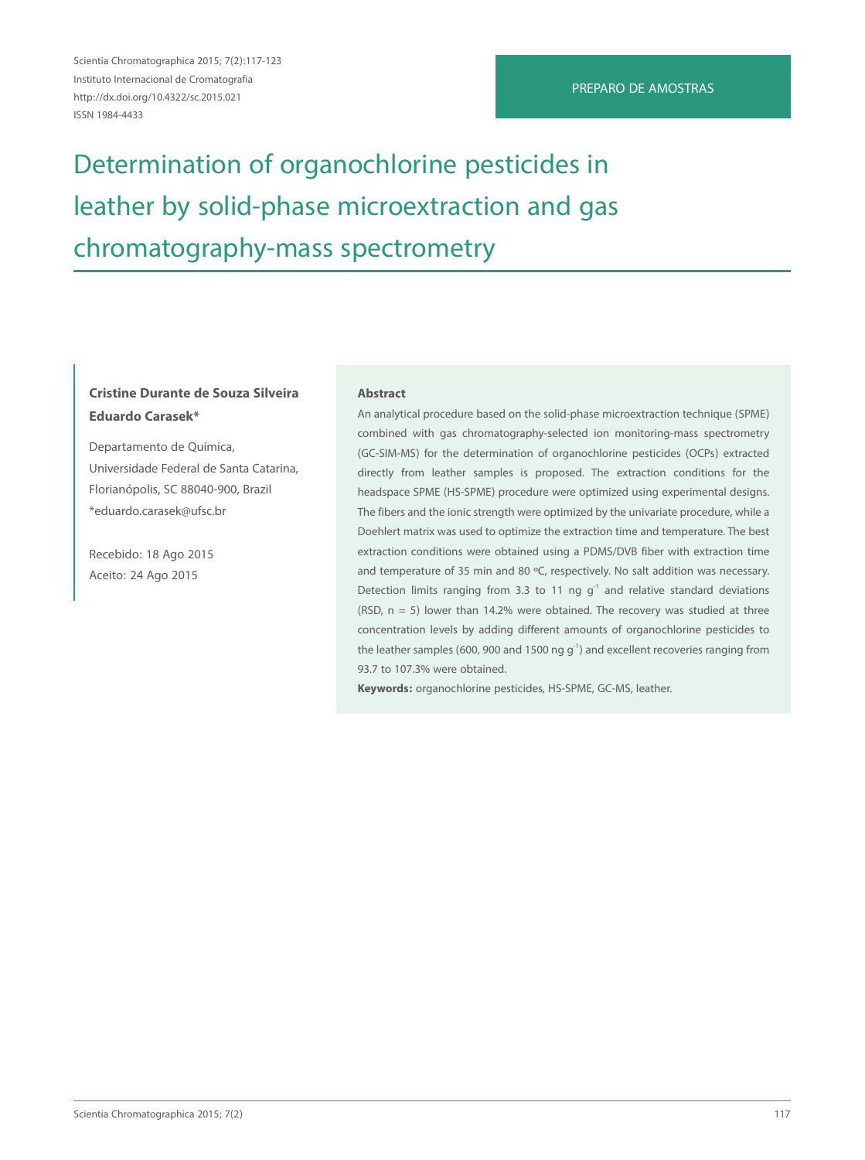Scientia Chromatographica 2015; 7(2):117-123 Instituto Internacional de Cromatografia http://dx.doi.org/10.4322/sc.2015.021 ISSN 1984-4433

## PREPARO DE AMOSTRAS

# Determination of organochlorine pesticides in leather by solid-phase microextraction and gas chromatography-mass spectrometry

## **Cristine Durante de Souza Silveira Eduardo Carasek\***

Departamento de Química, Universidade Federal de Santa Catarina, Florianópolis, SC 88040-900, Brazil \*eduardo.carasek@ufsc.br

Recebido: 18 Ago 2015 Aceito: 24 Ago 2015

#### **Abstract**

An analytical procedure based on the solid-phase microextraction technique (SPME) combined with gas chromatography-selected ion monitoring-mass spectrometry (GC-SIM-MS) for the determination of organochlorine pesticides (OCPs) extracted directly from leather samples is proposed. The extraction conditions for the headspace SPME (HS-SPME) procedure were optimized using experimental designs. The fibers and the ionic strength were optimized by the univariate procedure, while a Doehlert matrix was used to optimize the extraction time and temperature. The best extraction conditions were obtained using a PDMS/DVB fiber with extraction time and temperature of 35 min and 80 °C, respectively. No salt addition was necessary. Detection limits ranging from 3.3 to 11 ng  $g<sup>-1</sup>$  and relative standard deviations (RSD,  $n = 5$ ) lower than 14.2% were obtained. The recovery was studied at three concentration levels by adding different amounts of organochlorine pesticides to the leather samples (600, 900 and 1500 ng  $q^{-1}$ ) and excellent recoveries ranging from 93.7 to 107.3% were obtained.

**Keywords:** organochlorine pesticides, HS-SPME, GC-MS, leather.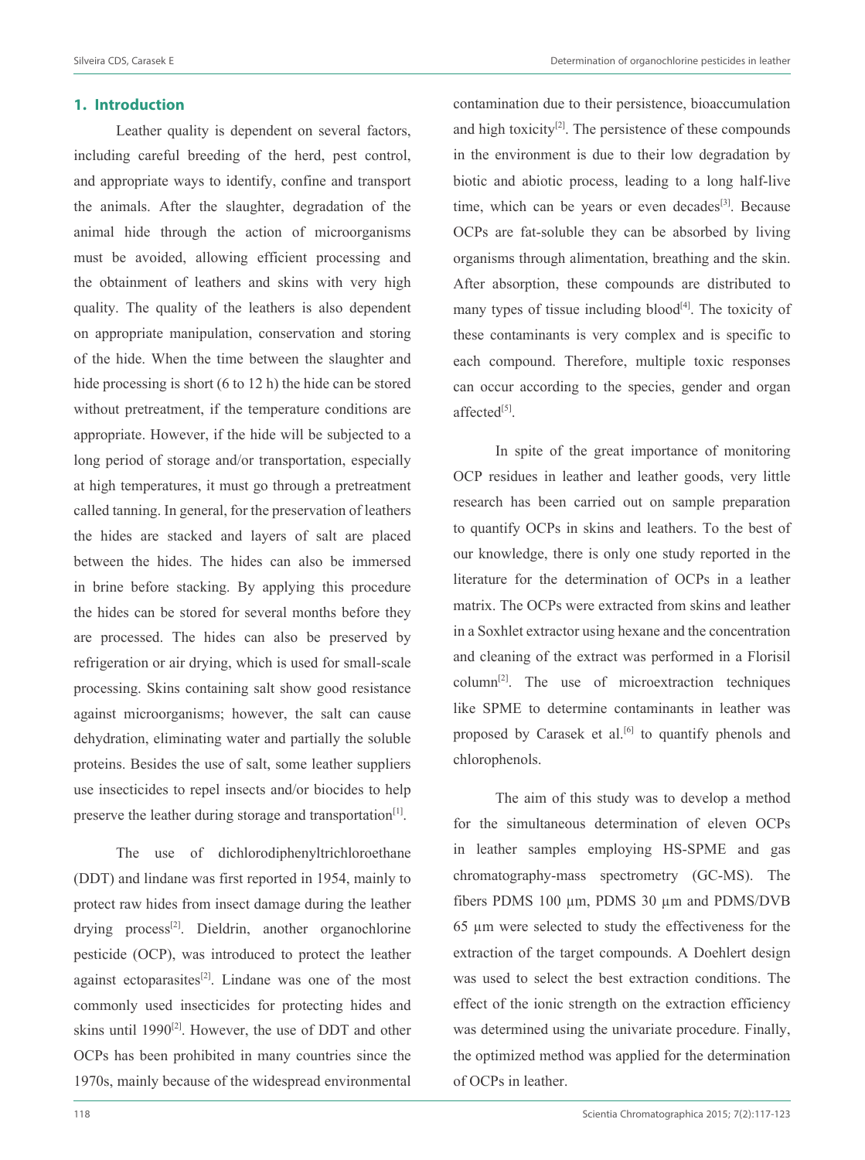## **1. Introduction**

Leather quality is dependent on several factors, including careful breeding of the herd, pest control, and appropriate ways to identify, confine and transport the animals. After the slaughter, degradation of the animal hide through the action of microorganisms must be avoided, allowing efficient processing and the obtainment of leathers and skins with very high quality. The quality of the leathers is also dependent on appropriate manipulation, conservation and storing of the hide. When the time between the slaughter and hide processing is short (6 to 12 h) the hide can be stored without pretreatment, if the temperature conditions are appropriate. However, if the hide will be subjected to a long period of storage and/or transportation, especially at high temperatures, it must go through a pretreatment called tanning. In general, for the preservation of leathers the hides are stacked and layers of salt are placed between the hides. The hides can also be immersed in brine before stacking. By applying this procedure the hides can be stored for several months before they are processed. The hides can also be preserved by refrigeration or air drying, which is used for small-scale processing. Skins containing salt show good resistance against microorganisms; however, the salt can cause dehydration, eliminating water and partially the soluble proteins. Besides the use of salt, some leather suppliers use insecticides to repel insects and/or biocides to help preserve the leather during storage and transportation<sup>[1]</sup>.

The use of dichlorodiphenyltrichloroethane (DDT) and lindane was first reported in 1954, mainly to protect raw hides from insect damage during the leather drying process<sup>[2]</sup>. Dieldrin, another organochlorine pesticide (OCP), was introduced to protect the leather against ectoparasites $[2]$ . Lindane was one of the most commonly used insecticides for protecting hides and skins until  $1990^{[2]}$ . However, the use of DDT and other OCPs has been prohibited in many countries since the 1970s, mainly because of the widespread environmental

contamination due to their persistence, bioaccumulation and high toxicity $[2]$ . The persistence of these compounds in the environment is due to their low degradation by biotic and abiotic process, leading to a long half-live time, which can be years or even decades $[3]$ . Because OCPs are fat-soluble they can be absorbed by living organisms through alimentation, breathing and the skin. After absorption, these compounds are distributed to many types of tissue including  $b$ lood<sup>[4]</sup>. The toxicity of these contaminants is very complex and is specific to each compound. Therefore, multiple toxic responses can occur according to the species, gender and organ affected<sup>[5]</sup>.

In spite of the great importance of monitoring OCP residues in leather and leather goods, very little research has been carried out on sample preparation to quantify OCPs in skins and leathers. To the best of our knowledge, there is only one study reported in the literature for the determination of OCPs in a leather matrix. The OCPs were extracted from skins and leather in a Soxhlet extractor using hexane and the concentration and cleaning of the extract was performed in a Florisil column<sup>[2]</sup>. The use of microextraction techniques like SPME to determine contaminants in leather was proposed by Carasek et al. $[6]$  to quantify phenols and chlorophenols.

The aim of this study was to develop a method for the simultaneous determination of eleven OCPs in leather samples employing HS-SPME and gas chromatography-mass spectrometry (GC-MS). The fibers PDMS 100 µm, PDMS 30 µm and PDMS/DVB 65 µm were selected to study the effectiveness for the extraction of the target compounds. A Doehlert design was used to select the best extraction conditions. The effect of the ionic strength on the extraction efficiency was determined using the univariate procedure. Finally, the optimized method was applied for the determination of OCPs in leather.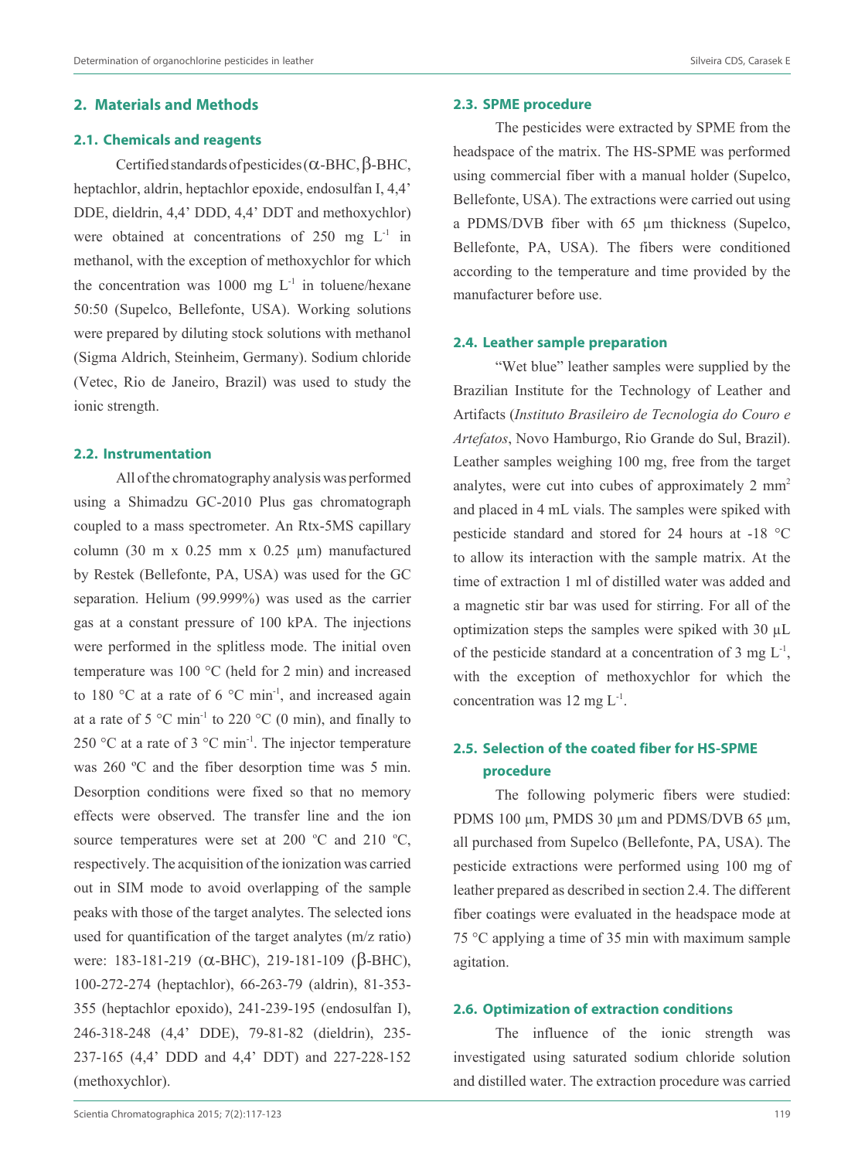## **2. Materials and Methods**

## **2.1. Chemicals and reagents**

Certified standards of pesticides (α-BHC, β-BHC, heptachlor, aldrin, heptachlor epoxide, endosulfan I, 4,4' DDE, dieldrin, 4,4' DDD, 4,4' DDT and methoxychlor) were obtained at concentrations of  $250 \text{ mg } L^1$  in methanol, with the exception of methoxychlor for which the concentration was 1000 mg  $L^{-1}$  in toluene/hexane 50:50 (Supelco, Bellefonte, USA). Working solutions were prepared by diluting stock solutions with methanol (Sigma Aldrich, Steinheim, Germany). Sodium chloride (Vetec, Rio de Janeiro, Brazil) was used to study the ionic strength.

## **2.2. Instrumentation**

All of the chromatography analysis was performed using a Shimadzu GC-2010 Plus gas chromatograph coupled to a mass spectrometer. An Rtx-5MS capillary column (30 m x  $0.25$  mm x  $0.25$  µm) manufactured by Restek (Bellefonte, PA, USA) was used for the GC separation. Helium (99.999%) was used as the carrier gas at a constant pressure of 100 kPA. The injections were performed in the splitless mode. The initial oven temperature was 100 °C (held for 2 min) and increased to 180 °C at a rate of 6 °C min<sup>-1</sup>, and increased again at a rate of 5  $^{\circ}$ C min<sup>-1</sup> to 220  $^{\circ}$ C (0 min), and finally to 250 °C at a rate of 3 °C min<sup>-1</sup>. The injector temperature was 260 ºC and the fiber desorption time was 5 min. Desorption conditions were fixed so that no memory effects were observed. The transfer line and the ion source temperatures were set at 200  $^{\circ}$ C and 210  $^{\circ}$ C, respectively. The acquisition of the ionization was carried out in SIM mode to avoid overlapping of the sample peaks with those of the target analytes. The selected ions used for quantification of the target analytes (m/z ratio) were: 183-181-219 (α-BHC), 219-181-109 (β-BHC), 100-272-274 (heptachlor), 66-263-79 (aldrin), 81-353- 355 (heptachlor epoxido), 241-239-195 (endosulfan I), 246-318-248 (4,4' DDE), 79-81-82 (dieldrin), 235- 237-165 (4,4' DDD and 4,4' DDT) and 227-228-152 (methoxychlor).

**2.3. SPME procedure**

The pesticides were extracted by SPME from the headspace of the matrix. The HS-SPME was performed using commercial fiber with a manual holder (Supelco, Bellefonte, USA). The extractions were carried out using a PDMS/DVB fiber with 65 µm thickness (Supelco, Bellefonte, PA, USA). The fibers were conditioned according to the temperature and time provided by the manufacturer before use.

## **2.4. Leather sample preparation**

"Wet blue" leather samples were supplied by the Brazilian Institute for the Technology of Leather and Artifacts (*Instituto Brasileiro de Tecnologia do Couro e Artefatos*, Novo Hamburgo, Rio Grande do Sul, Brazil). Leather samples weighing 100 mg, free from the target analytes, were cut into cubes of approximately 2 mm<sup>2</sup> and placed in 4 mL vials. The samples were spiked with pesticide standard and stored for 24 hours at -18 °C to allow its interaction with the sample matrix. At the time of extraction 1 ml of distilled water was added and a magnetic stir bar was used for stirring. For all of the optimization steps the samples were spiked with 30 µL of the pesticide standard at a concentration of 3 mg  $L^{-1}$ , with the exception of methoxychlor for which the concentration was 12 mg  $L^{-1}$ .

## **2.5. Selection of the coated fiber for HS-SPME procedure**

The following polymeric fibers were studied: PDMS 100 µm, PMDS 30 µm and PDMS/DVB 65 µm, all purchased from Supelco (Bellefonte, PA, USA). The pesticide extractions were performed using 100 mg of leather prepared as described in section 2.4. The different fiber coatings were evaluated in the headspace mode at 75 °C applying a time of 35 min with maximum sample agitation.

## **2.6. Optimization of extraction conditions**

The influence of the ionic strength was investigated using saturated sodium chloride solution and distilled water. The extraction procedure was carried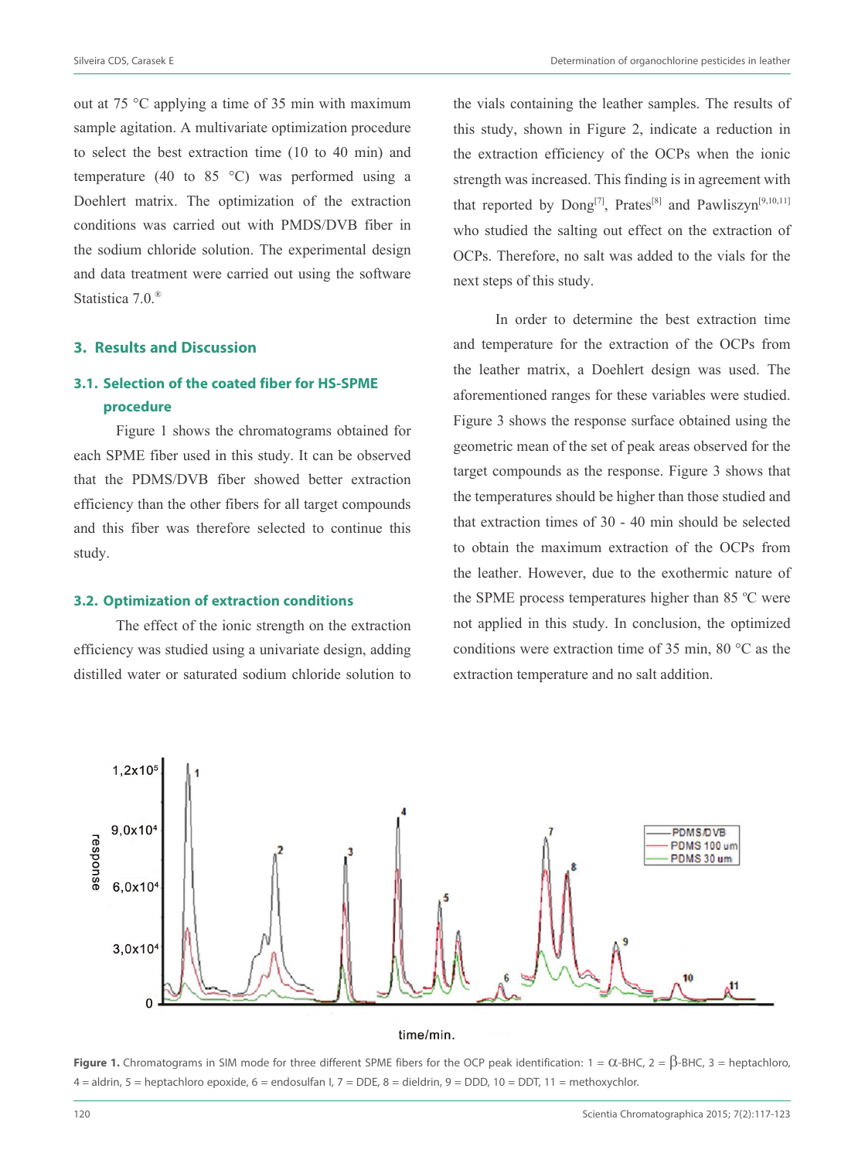out at 75 °C applying a time of 35 min with maximum sample agitation. A multivariate optimization procedure to select the best extraction time (10 to 40 min) and temperature (40 to 85 °C) was performed using a Doehlert matrix. The optimization of the extraction conditions was carried out with PMDS/DVB fiber in the sodium chloride solution. The experimental design and data treatment were carried out using the software Statistica 7.0.<sup>®</sup>

## **3. Results and Discussion**

## **3.1. Selection of the coated fiber for HS-SPME procedure**

Figure 1 shows the chromatograms obtained for each SPME fiber used in this study. It can be observed that the PDMS/DVB fiber showed better extraction efficiency than the other fibers for all target compounds and this fiber was therefore selected to continue this study.

## **3.2. Optimization of extraction conditions**

The effect of the ionic strength on the extraction efficiency was studied using a univariate design, adding distilled water or saturated sodium chloride solution to the vials containing the leather samples. The results of this study, shown in Figure 2, indicate a reduction in the extraction efficiency of the OCPs when the ionic strength was increased. This finding is in agreement with that reported by  $\text{Dong}^{[7]}$ , Prates<sup>[8]</sup> and Pawliszyn<sup>[9,10,11]</sup> who studied the salting out effect on the extraction of OCPs. Therefore, no salt was added to the vials for the next steps of this study.

In order to determine the best extraction time and temperature for the extraction of the OCPs from the leather matrix, a Doehlert design was used. The aforementioned ranges for these variables were studied. Figure 3 shows the response surface obtained using the geometric mean of the set of peak areas observed for the target compounds as the response. Figure 3 shows that the temperatures should be higher than those studied and that extraction times of 30 - 40 min should be selected to obtain the maximum extraction of the OCPs from the leather. However, due to the exothermic nature of the SPME process temperatures higher than 85  $^{\circ}$ C were not applied in this study. In conclusion, the optimized conditions were extraction time of 35 min, 80 °C as the extraction temperature and no salt addition.



**Figure 1.** Chromatograms in SIM mode for three different SPME fibers for the OCP peak identification:  $1 = \alpha$ -BHC,  $2 = \beta$ -BHC,  $3 =$  heptachloro,  $4 =$  aldrin,  $5 =$  heptachloro epoxide,  $6 =$  endosulfan I,  $7 =$  DDE,  $8 =$  dieldrin,  $9 =$  DDD,  $10 =$  DDT,  $11 =$  methoxychlor.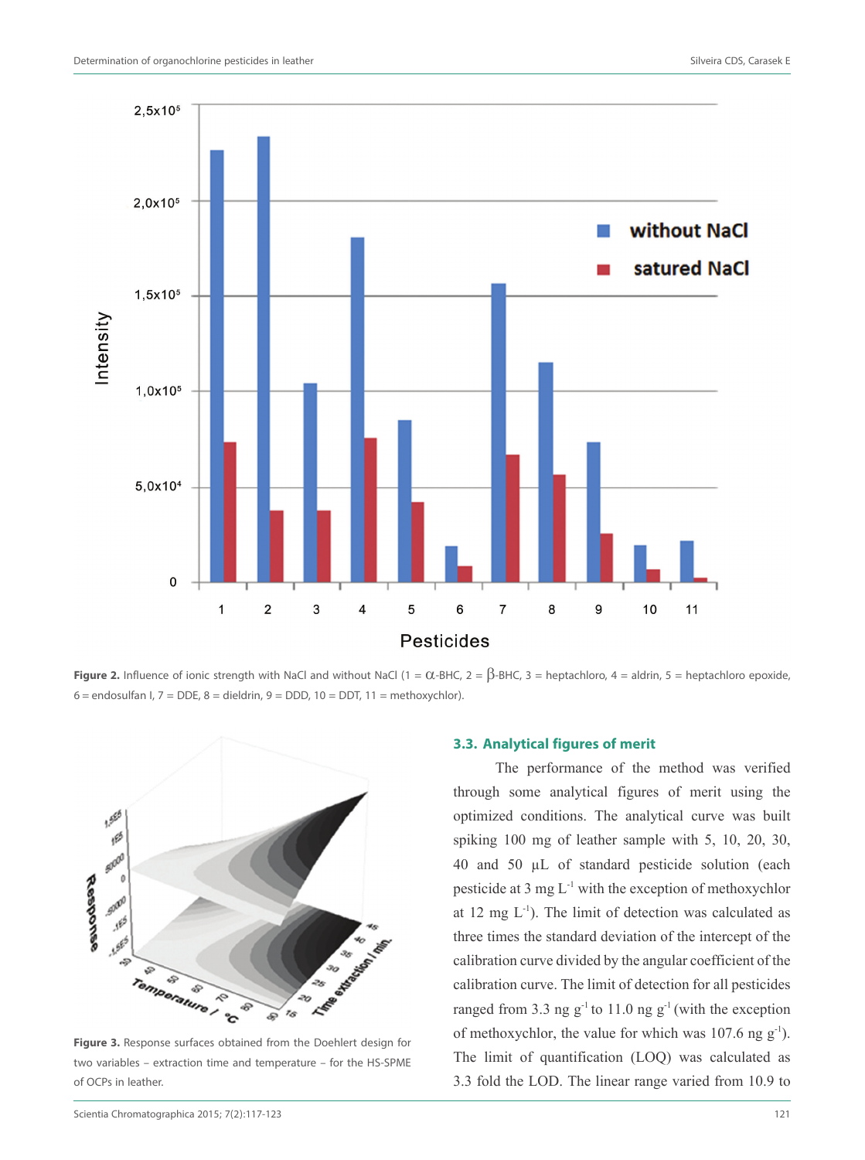

**Figure 2.** Influence of ionic strength with NaCl and without NaCl (1 =  $\alpha$ -BHC, 2 =  $\beta$ -BHC, 3 = heptachloro, 4 = aldrin, 5 = heptachloro epoxide,  $6 =$  endosulfan I,  $7 =$  DDE,  $8 =$  dieldrin,  $9 =$  DDD,  $10 =$  DDT,  $11 =$  methoxychlor).



**Figure 3.** Response surfaces obtained from the Doehlert design for two variables – extraction time and temperature – for the HS-SPME of OCPs in leather.

#### **3.3. Analytical figures of merit**

The performance of the method was verified through some analytical figures of merit using the optimized conditions. The analytical curve was built spiking 100 mg of leather sample with 5, 10, 20, 30, 40 and 50 µL of standard pesticide solution (each pesticide at 3 mg  $L^{-1}$  with the exception of methoxychlor at 12 mg  $L^{-1}$ ). The limit of detection was calculated as three times the standard deviation of the intercept of the calibration curve divided by the angular coefficient of the calibration curve. The limit of detection for all pesticides ranged from 3.3 ng  $g^{-1}$  to 11.0 ng  $g^{-1}$  (with the exception of methoxychlor, the value for which was  $107.6$  ng  $g^{-1}$ ). The limit of quantification (LOQ) was calculated as 3.3 fold the LOD. The linear range varied from 10.9 to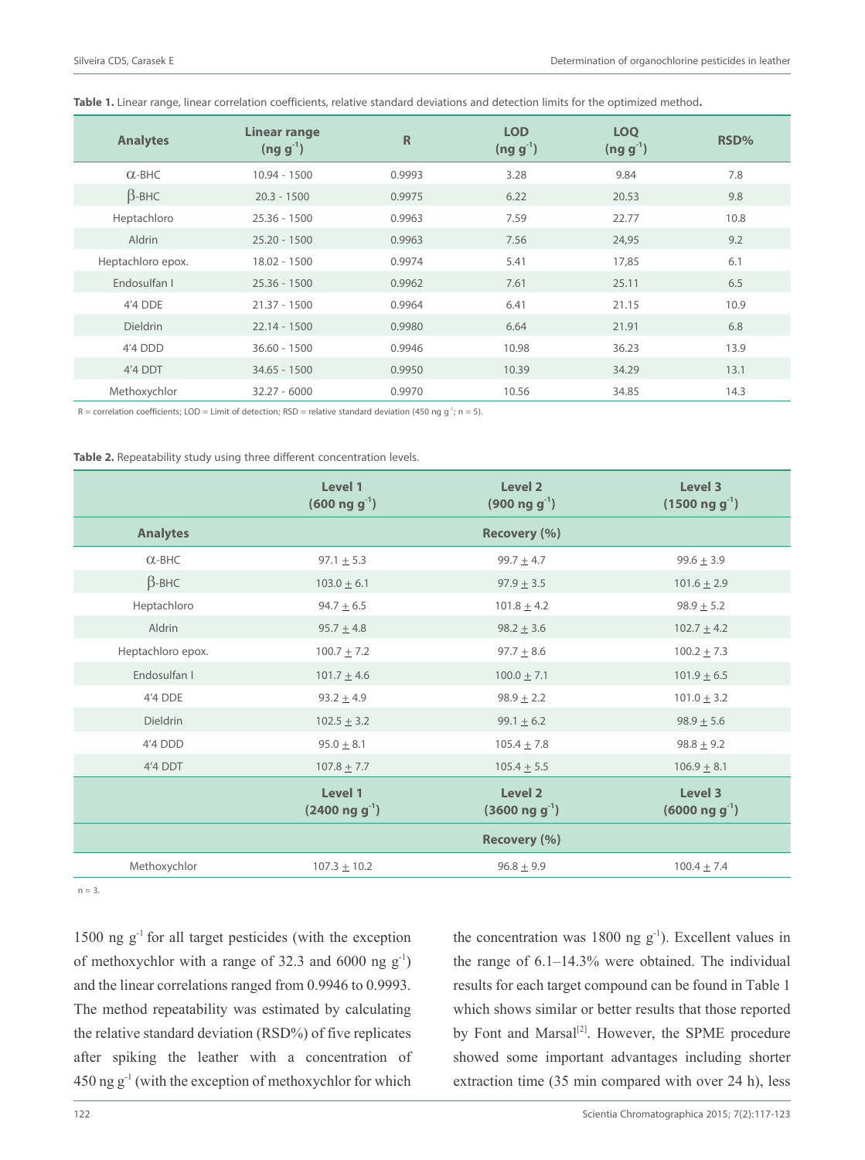| <b>Analytes</b>   | Linear range<br>$(ng g-1)$ | $\mathsf{R}$ | <b>LOD</b><br>$(ng g^{-1})$ | <b>LOO</b><br>$(ng g-1)$ | RSD% |
|-------------------|----------------------------|--------------|-----------------------------|--------------------------|------|
| $\alpha$ -BHC     | $10.94 - 1500$             | 0.9993       | 3.28                        | 9.84                     | 7.8  |
| $\beta$ -BHC      | $20.3 - 1500$              | 0.9975       | 6.22                        | 20.53                    | 9.8  |
| Heptachloro       | $25.36 - 1500$             | 0.9963       | 7.59                        | 22.77                    | 10.8 |
| Aldrin            | $25.20 - 1500$             | 0.9963       | 7.56                        | 24,95                    | 9.2  |
| Heptachloro epox. | 18.02 - 1500               | 0.9974       | 5.41                        | 17,85                    | 6.1  |
| Endosulfan I      | $25.36 - 1500$             | 0.9962       | 7.61                        | 25.11                    | 6.5  |
| 4'4 DDE           | $21.37 - 1500$             | 0.9964       | 6.41                        | 21.15                    | 10.9 |
| <b>Dieldrin</b>   | $22.14 - 1500$             | 0.9980       | 6.64                        | 21.91                    | 6.8  |
| 4'4 DDD           | $36.60 - 1500$             | 0.9946       | 10.98                       | 36.23                    | 13.9 |
| 4'4 DDT           | $34.65 - 1500$             | 0.9950       | 10.39                       | 34.29                    | 13.1 |
| Methoxychlor      | $32.27 - 6000$             | 0.9970       | 10.56                       | 34.85                    | 14.3 |

**Table 1.** Linear range, linear correlation coefficients, relative standard deviations and detection limits for the optimized method**.**

 $R =$  correlation coefficients; LOD = Limit of detection; RSD = relative standard deviation (450 ng g<sup>-1</sup>; n = 5).

Table 2. Repeatability study using three different concentration levels.

|                   | Level 1<br>$(600 \text{ ng g}^{-1})$  | Level <sub>2</sub><br>$(900 \text{ ng g}^{-1})$  | Level 3<br>$(1500 \text{ ng g}^{-1})$ |
|-------------------|---------------------------------------|--------------------------------------------------|---------------------------------------|
| <b>Analytes</b>   |                                       | Recovery (%)                                     |                                       |
| $O$ -BHC          | $97.1 \pm 5.3$                        | $99.7 \pm 4.7$                                   | $99.6 \pm 3.9$                        |
| $\beta$ -BHC      | $103.0 \pm 6.1$                       | $97.9 \pm 3.5$                                   | $101.6 \pm 2.9$                       |
| Heptachloro       | $94.7 \pm 6.5$                        | $101.8 \pm 4.2$                                  | $98.9 \pm 5.2$                        |
| Aldrin            | $95.7 \pm 4.8$                        | $98.2 + 3.6$                                     | $102.7 + 4.2$                         |
| Heptachloro epox. | $100.7 \pm 7.2$                       | $97.7 \pm 8.6$                                   | $100.2 \pm 7.3$                       |
| Endosulfan I      | $101.7 \pm 4.6$                       | $100.0 \pm 7.1$                                  | $101.9 \pm 6.5$                       |
| 4'4 DDE           | $93.2 \pm 4.9$                        | $98.9 \pm 2.2$                                   | $101.0 \pm 3.2$                       |
| <b>Dieldrin</b>   | $102.5 \pm 3.2$                       | 99.1 $\pm$ 6.2                                   | $98.9 + 5.6$                          |
| 4'4 DDD           | $95.0 \pm 8.1$                        | $105.4 \pm 7.8$                                  | $98.8 \pm 9.2$                        |
| 4'4 DDT           | $107.8 \pm 7.7$                       | $105.4 \pm 5.5$                                  | $106.9 \pm 8.1$                       |
|                   | Level 1<br>$(2400 \text{ ng g}^{-1})$ | Level <sub>2</sub><br>$(3600 \text{ ng g}^{-1})$ | Level 3<br>$(6000 \text{ ng g}^{-1})$ |
|                   |                                       | Recovery (%)                                     |                                       |
| Methoxychlor      | $107.3 \pm 10.2$                      | $96.8 \pm 9.9$                                   | $100.4 \pm 7.4$                       |

 $n = 3$ .

1500 ng  $g^{-1}$  for all target pesticides (with the exception of methoxychlor with a range of 32.3 and 6000 ng  $g^{-1}$ ) and the linear correlations ranged from 0.9946 to 0.9993. The method repeatability was estimated by calculating the relative standard deviation (RSD%) of five replicates after spiking the leather with a concentration of  $450$  ng g<sup>-1</sup> (with the exception of methoxychlor for which

the concentration was 1800 ng  $g^{-1}$ ). Excellent values in the range of 6.1–14.3% were obtained. The individual results for each target compound can be found in Table 1 which shows similar or better results that those reported by Font and Marsal<sup>[2]</sup>. However, the SPME procedure showed some important advantages including shorter extraction time (35 min compared with over 24 h), less